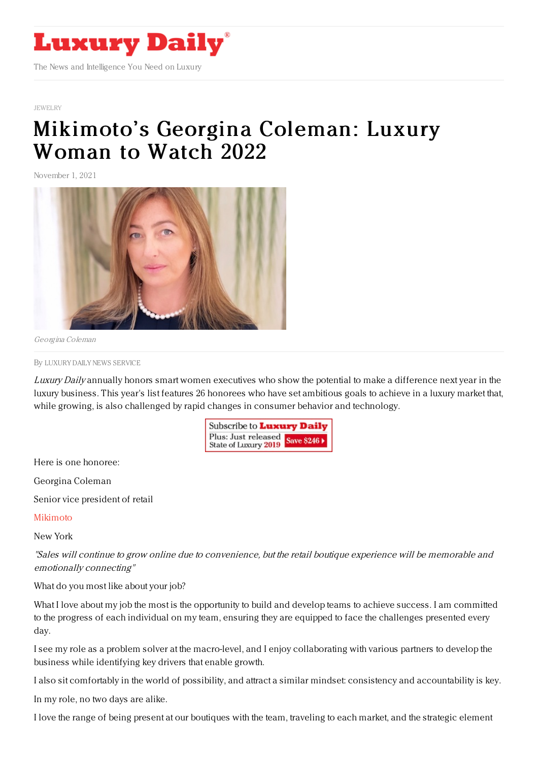

## [JEWELRY](https://www.luxurydaily.com/category/sectors/jewelry/)

## [Mikimoto's](https://www.luxurydaily.com/mikimotos-georgina-coleman-luxury-woman-to-watch-2022/) Georgina Coleman: Luxury Woman to Watch 2022

November 1, 2021



Georgina Coleman

By LUXURY DAILY NEWS [SERVICE](file:///author/luxury-daily-news-service)

Luxury Daily annually honors smart women executives who show the potential to make a difference next year in the luxury business. This year's list features 26 honorees who have set ambitious goals to achieve in a luxury market that, while growing, is also challenged by rapid changes in consumer behavior and technology.

> Subscribe to Luxury Daily Plus: Just released Save \$246 > State of Luxury 2019

Here is one honoree:

Georgina Coleman

Senior vice president of retail

## [Mikimoto](https://www.mikimotoamerica.com/us_en/)

New York

"Sales will continue to grow online due to convenience, but the retail boutique experience will be memorable and emotionally connecting"

## What do you most like about your job?

What I love about my job the most is the opportunity to build and develop teams to achieve success. I am committed to the progress of each individual on my team, ensuring they are equipped to face the challenges presented every day.

I see my role as a problem solver at the macro-level, and I enjoy collaborating with various partners to develop the business while identifying key drivers that enable growth.

I also sit comfortably in the world of possibility, and attract a similar mindset: consistency and accountability is key.

In my role, no two days are alike.

I love the range of being present at our boutiques with the team, traveling to each market, and the strategic element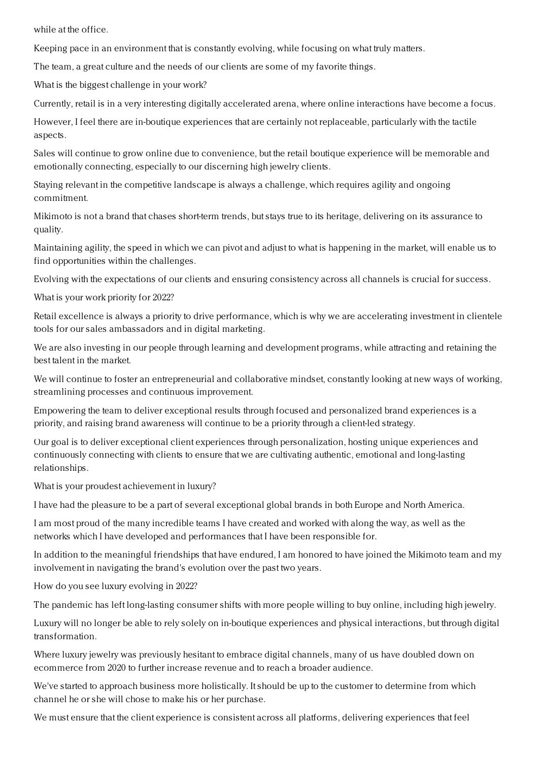while at the office.

Keeping pace in an environment that is constantly evolving, while focusing on what truly matters.

The team, a great culture and the needs of our clients are some of my favorite things.

What is the biggest challenge in your work?

Currently, retail is in a very interesting digitally accelerated arena, where online interactions have become a focus.

However, I feel there are in-boutique experiences that are certainly not replaceable, particularly with the tactile aspects.

Sales will continue to grow online due to convenience, but the retail boutique experience will be memorable and emotionally connecting, especially to our discerning high jewelry clients.

Staying relevant in the competitive landscape is always a challenge, which requires agility and ongoing commitment.

Mikimoto is not a brand that chases short-term trends, but stays true to its heritage, delivering on its assurance to quality.

Maintaining agility, the speed in which we can pivot and adjust to what is happening in the market, will enable us to find opportunities within the challenges.

Evolving with the expectations of our clients and ensuring consistency across all channels is crucial for success.

What is your work priority for 2022?

Retail excellence is always a priority to drive performance, which is why we are accelerating investment in clientele tools for our sales ambassadors and in digital marketing.

We are also investing in our people through learning and development programs, while attracting and retaining the best talent in the market.

We will continue to foster an entrepreneurial and collaborative mindset, constantly looking at new ways of working, streamlining processes and continuous improvement.

Empowering the team to deliver exceptional results through focused and personalized brand experiences is a priority, and raising brand awareness will continue to be a priority through a client-led strategy.

Our goal is to deliver exceptional client experiences through personalization, hosting unique experiences and continuously connecting with clients to ensure that we are cultivating authentic, emotional and long-lasting relationships.

What is your proudest achievement in luxury?

I have had the pleasure to be a part of several exceptional global brands in both Europe and North America.

I am most proud of the many incredible teams I have created and worked with along the way, as well as the networks which I have developed and performances that I have been responsible for.

In addition to the meaningful friendships that have endured, I am honored to have joined the Mikimoto team and my involvement in navigating the brand's evolution over the past two years.

How do you see luxury evolving in 2022?

The pandemic has left long-lasting consumer shifts with more people willing to buy online, including high jewelry.

Luxury will no longer be able to rely solely on in-boutique experiences and physical interactions, but through digital transformation.

Where luxury jewelry was previously hesitant to embrace digital channels, many of us have doubled down on ecommerce from 2020 to further increase revenue and to reach a broader audience.

We've started to approach business more holistically. It should be up to the customer to determine from which channel he or she will chose to make his or her purchase.

We must ensure that the client experience is consistent across all platforms, delivering experiences that feel